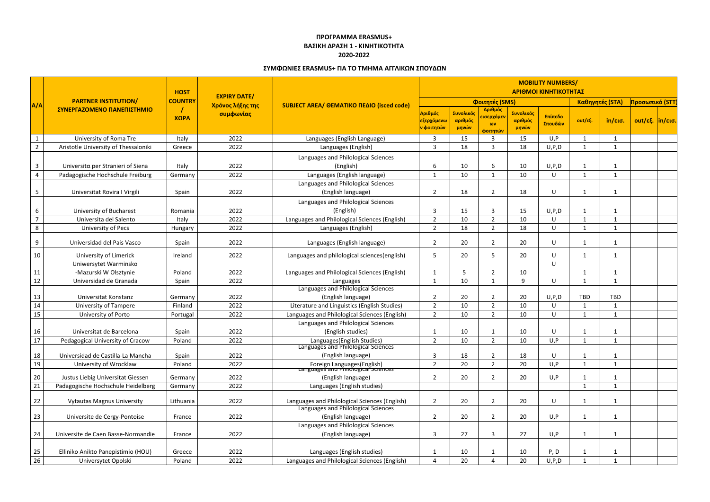|                 | <b>PARTNER INSTITUTION/</b><br>ΣΥΝΕΡΓΑΖΟΜΕΝΟ ΠΑΝΕΠΙΣΤΗΜΙΟ | <b>HOST</b>    | <b>EXPIRY DATE/</b><br>Χρόνος λήξης της<br>συμφωνίας | <b>SUBJECT AREA/ ΘΕΜΑΤΙΚΟ ΠΕΔΙΟ (isced code)</b>                   | <b>MOBILITY NUMBERS/</b><br>ΑΡΙΘΜΟΙ ΚΙΝΗΤΙΚΟΤΗΤΑΣ |                               |                                                      |                               |                    |                 |                               |                  |  |
|-----------------|-----------------------------------------------------------|----------------|------------------------------------------------------|--------------------------------------------------------------------|---------------------------------------------------|-------------------------------|------------------------------------------------------|-------------------------------|--------------------|-----------------|-------------------------------|------------------|--|
| A/A             |                                                           | <b>COUNTRY</b> |                                                      |                                                                    |                                                   |                               | Φοιτητές (SMS)                                       |                               |                    | Καθηγητές (STA) | <mark>Προσωπικό (STT</mark> ) |                  |  |
|                 |                                                           | ΧΩΡΑ           |                                                      |                                                                    | Αριθμός<br>εξερχόμενω<br><mark>ν φοιτητών</mark>  | Συνολικός<br>αριθμός<br>μηνών | Αριθμός<br><mark>εισερχόμεν</mark><br>ωv<br>φοιτητών | Συνολικός<br>αριθμός<br>μηνών | Επίπεδο<br>Σπουδών | out/εξ.         | in/εισ.                       | out/εξ.  in/εισ. |  |
| $\mathbf{1}$    | University of Roma Tre                                    | Italy          | 2022                                                 | Languages (English Language)                                       | $\overline{3}$                                    | 15                            | $\overline{3}$                                       | 15                            | U, P               | $\mathbf{1}$    | $\mathbf{1}$                  |                  |  |
| $2^{\circ}$     | Aristotle University of Thessaloniki                      | Greece         | 2022                                                 | Languages (English)                                                | $\overline{3}$                                    | 18                            | 3                                                    | 18                            | U, P, D            | $\mathbf{1}$    | 1                             |                  |  |
|                 |                                                           |                |                                                      | Languages and Philological Sciences                                |                                                   |                               |                                                      |                               |                    |                 |                               |                  |  |
| $\mathbf{3}$    | Universita per Stranieri of Siena                         | Italy          | 2022                                                 | (English)                                                          | 6                                                 | 10                            | 6                                                    | 10                            | U, P, D            | 1               |                               |                  |  |
| $\overline{4}$  | Padagogische Hochschule Freiburg                          | Germany        | 2022                                                 | Languages (English language)                                       | $\overline{1}$                                    | 10                            |                                                      | 10                            | U                  | $\mathbf{1}$    | $\mathbf{1}$                  |                  |  |
|                 |                                                           |                |                                                      | Languages and Philological Sciences                                | $\overline{2}$                                    |                               | $\overline{2}$                                       |                               |                    |                 |                               |                  |  |
| $5\phantom{.0}$ | Universitat Rovira I Virgili                              | Spain          | 2022                                                 | (English language)<br>Languages and Philological Sciences          |                                                   | 18                            |                                                      | 18                            | U                  | 1               | $\mathbf{1}$                  |                  |  |
| 6               | University of Bucharest                                   | Romania        | 2022                                                 | (English)                                                          | $\overline{3}$                                    | 15                            | 3                                                    | 15                            | U, P, D            | 1               |                               |                  |  |
| $\overline{7}$  | Universita del Salento                                    | Italy          | 2022                                                 | Languages and Philological Sciences (English)                      | $\overline{2}$                                    | 10                            | $\overline{2}$                                       | 10                            | U                  | 1               | -1                            |                  |  |
| 8               | University of Pecs                                        | Hungary        | 2022                                                 | Languages (English)                                                | $\overline{2}$                                    | 18                            | $\overline{2}$                                       | 18                            | U                  | 1               |                               |                  |  |
| 9               | Universidad del Pais Vasco                                | Spain          | 2022                                                 | Languages (English language)                                       | $\overline{2}$                                    | 20                            | 2                                                    | 20                            | U                  | $\mathbf{1}$    |                               |                  |  |
| 10              | University of Limerick                                    | Ireland        | 2022                                                 | Languages and philological sciences(english)                       | 5                                                 | 20                            | 5                                                    | 20                            | U                  | 1               |                               |                  |  |
|                 | Uniwersytet Warminsko                                     |                |                                                      |                                                                    |                                                   |                               |                                                      |                               | U                  |                 |                               |                  |  |
| 11              | -Mazurski W Olsztynie                                     | Poland         | 2022                                                 | Languages and Philological Sciences (English)                      |                                                   | 5                             | $\overline{2}$                                       | 10                            |                    | 1               | -1                            |                  |  |
| 12              | Universidad de Granada                                    | Spain          | 2022                                                 | Languages                                                          | $\mathbf{1}$                                      | 10                            |                                                      | 9                             | U                  | $\mathbf{1}$    | $\mathbf{1}$                  |                  |  |
|                 |                                                           |                |                                                      | Languages and Philological Sciences                                |                                                   |                               |                                                      |                               |                    |                 |                               |                  |  |
| 13              | Universitat Konstanz                                      | Germany        | 2022                                                 | (English language)                                                 | $\overline{2}$                                    | 20                            | $\overline{2}$                                       | 20                            | U, P, D            | <b>TBD</b>      | TBD                           |                  |  |
| 14              | University of Tampere                                     | Finland        | 2022                                                 | Literature and Linguistics (English Studies)                       | $\overline{2}$                                    | 10                            | $\overline{2}$                                       | 10                            | U                  | 1               |                               |                  |  |
| 15              | University of Porto                                       | Portugal       | 2022                                                 | Languages and Philological Sciences (English)                      | $\overline{2}$                                    | 10                            | $\overline{2}$                                       | 10                            | U                  | $\mathbf{1}$    | $\mathbf{1}$                  |                  |  |
|                 |                                                           |                |                                                      | Languages and Philological Sciences                                |                                                   |                               |                                                      |                               |                    |                 |                               |                  |  |
| 16              | Universitat de Barcelona                                  | Spain          | 2022                                                 | (English studies)                                                  | ຳ                                                 | 10                            | ി                                                    | 10                            | U                  | 1               |                               |                  |  |
| 17              | Pedagogical University of Cracow                          | Poland         | 2022                                                 | Languages (English Studies)<br>Languages and Philological Sciences |                                                   | 10                            |                                                      | 10                            | U.P                |                 |                               |                  |  |
| 18              | Universidad de Castilla-La Mancha                         | Spain          | 2022                                                 | (English language)                                                 | 3                                                 | 18                            |                                                      | 18                            | U                  | 1               |                               |                  |  |
| 19              | University of Wrocklaw                                    | Poland         | 2022                                                 | Foreign Languages(English)<br>Eanguages and Fimological Sciences   | $\overline{2}$                                    | 20                            | $\overline{2}$                                       | 20                            | U, P               | $\mathbf{1}$    |                               |                  |  |
| 20              | Justus Liebig Universitat Giessen                         | Germany        | 2022                                                 | (English language)                                                 | $\overline{2}$                                    | 20                            | 2                                                    | 20                            | U, P               | 1               |                               |                  |  |
| 21              | Padagogische Hochschule Heidelberg                        | Germany        | 2022                                                 | Languages (English studies)                                        |                                                   |                               |                                                      |                               |                    | $\mathbf{1}$    |                               |                  |  |
| 22              | <b>Vytautas Magnus University</b>                         | Lithuania      | 2022                                                 | Languages and Philological Sciences (English)                      | $\overline{2}$                                    | 20                            | $\overline{2}$                                       | 20                            | U                  | 1               | -1                            |                  |  |
| 23              | Universite de Cergy-Pontoise                              | France         | 2022                                                 | Languages and Philological Sciences<br>(English language)          | $\overline{2}$                                    | 20                            | 2                                                    | 20                            | U, P               | $\mathbf{1}$    | 1                             |                  |  |
| 24              | Universite de Caen Basse-Normandie                        | France         | 2022                                                 | Languages and Philological Sciences<br>(English language)          | 3                                                 | 27                            | 3                                                    | 27                            | U, P               | 1               |                               |                  |  |
|                 |                                                           |                |                                                      |                                                                    |                                                   |                               |                                                      |                               |                    |                 |                               |                  |  |
| 25              | Elliniko Anikto Panepistimio (HOU)                        | Greece         | 2022                                                 | Languages (English studies)                                        |                                                   | 10                            |                                                      | 10                            | P, D               | -1              |                               |                  |  |
| 26              | Universytet Opolski                                       | Poland         | 2022                                                 | Languages and Philological Sciences (English)                      | $\Delta$                                          | 20                            |                                                      | 20                            | U, P, D            | 1               | $\mathbf{1}$                  |                  |  |

## **ΠΡΟΓΡΑΜΜΑ ERASMUS+ ΒΑΣΙΚΗ ΔΡΑΣΗ 1 - ΚΙΝΗΤΙΚΟΤΗΤΑ 2020-2022**

## **ΣΥΜΦΩΝΙΕΣ ERASMUS+ ΓΙΑ ΤΟ ΤΜΗΜΑ ΑΓΓΛΙΚΩΝ ΣΠΟΥΔΩΝ**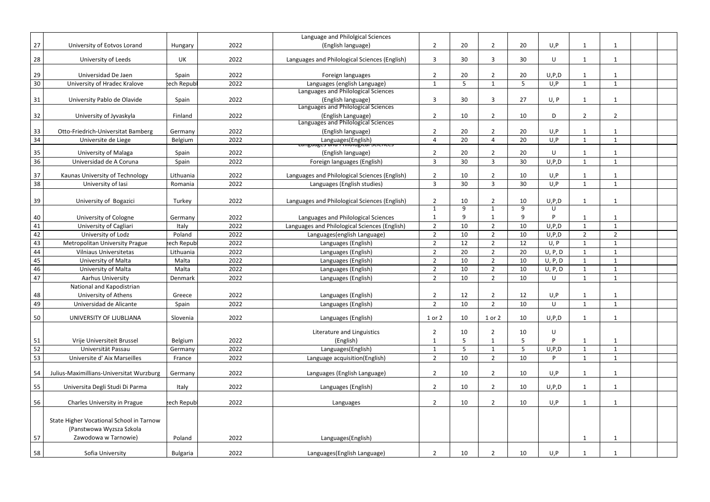|          |                                          |             |      | Language and Philolgical Sciences                                     |                     |    |                |                 |         |                |                         |  |
|----------|------------------------------------------|-------------|------|-----------------------------------------------------------------------|---------------------|----|----------------|-----------------|---------|----------------|-------------------------|--|
| 27       | University of Eotvos Lorand              | Hungary     | 2022 | (English language)                                                    | $\overline{2}$      | 20 | $\overline{2}$ | 20              | U, P    | $\mathbf{1}$   | $\mathbf 1$             |  |
| 28       | University of Leeds                      | UK          | 2022 | Languages and Philological Sciences (English)                         | $\overline{3}$      | 30 | 3              | 30              | U       | $\mathbf{1}$   | $\mathbf 1$             |  |
| 29       | Universidad De Jaen                      | Spain       | 2022 | Foreign languages                                                     | $\overline{2}$      | 20 | $\overline{2}$ | 20              | U, P, D |                | -1                      |  |
| 30       | University of Hradec Kralove             | ech Repub   | 2022 | Languages (english Language)                                          | $\mathbf 1$         | 5  |                | 5               | U, P    | $\mathbf{1}$   | -1                      |  |
|          |                                          |             |      | Languages and Philological Sciences                                   |                     |    |                |                 |         |                |                         |  |
| 31       | University Pablo de Olavide              | Spain       | 2022 | (English language)                                                    | $\overline{3}$      | 30 | 3              | 27              | U, P    | $\mathbf{1}$   | $\mathbf{1}$            |  |
|          |                                          |             |      | Languages and Philological Sciences                                   |                     |    |                |                 |         |                |                         |  |
| 32       | University of Jyvaskyla                  | Finland     | 2022 | (English Language)                                                    | $\overline{2}$      | 10 | $\overline{2}$ | 10              | D       | $2^{\circ}$    | $\overline{2}$          |  |
|          |                                          |             |      | Languages and Philological Sciences                                   |                     |    |                |                 |         | $\mathbf 1$    |                         |  |
| 33<br>34 | Otto-Friedrich-Universitat Bamberg       | Germany     | 2022 | (English language)                                                    | $\overline{2}$<br>Δ | 20 | $\overline{2}$ | 20              | U, P    |                | -1<br>-1                |  |
|          | Universite de Liege                      | Belgium     | 2022 | Languages(English)<br><del>בTanguages and Primological Sciences</del> |                     | 20 | 4              | 20              | U, P    | 1              |                         |  |
| 35       | University of Malaga                     | Spain       | 2022 | (English language)                                                    | $\overline{2}$      | 20 | $\overline{2}$ | 20              | U       | $\mathbf{1}$   |                         |  |
| 36       | Universidad de A Coruna                  | Spain       | 2022 | Foreign languages (English)                                           | $\overline{3}$      | 30 | 3              | 30              | U, P, D | 1              | -1                      |  |
| 37       | Kaunas University of Technology          | Lithuania   | 2022 | Languages and Philological Sciences (English)                         | $\overline{2}$      | 10 | $\overline{2}$ | 10              | U, P    | 1              | $\mathbf 1$             |  |
| 38       | University of lasi                       | Romania     | 2022 | Languages (English studies)                                           | $\overline{3}$      | 30 | $\overline{3}$ | 30              | U, P    | $\mathbf{1}$   | $\mathbf{1}$            |  |
|          |                                          |             |      |                                                                       |                     |    |                |                 |         |                |                         |  |
| 39       | University of Bogazici                   | Turkey      | 2022 | Languages and Philological Sciences (English)                         | $\overline{2}$      | 10 | $\overline{2}$ | 10              | U, P, D | $\mathbf{1}$   | $\mathbf{1}$            |  |
|          |                                          |             |      |                                                                       | -1                  | 9  | 1              | 9               | U       |                |                         |  |
| 40       | University of Cologne                    | Germany     | 2022 | Languages and Philological Sciences                                   | $\overline{1}$      | 9  | -1             | q               | D       | 1              | $\mathbf{1}$            |  |
| 41       | University of Cagliari                   | Italy       | 2022 | Languages and Philological Sciences (English)                         | $\overline{2}$      | 10 | $\overline{2}$ | 10              | U, P, D | 1              | -1                      |  |
| 42       | University of Lodz                       | Poland      | 2022 | Languages(english Language)                                           | $\overline{2}$      | 10 | $\overline{2}$ | 10              | U, P, D | $\overline{2}$ | $\overline{2}$          |  |
| 43       | <b>Metropolitan University Prague</b>    | rech Republ | 2022 | Languages (English)                                                   | $\overline{2}$      | 12 | $\overline{2}$ | 12              | U, P    | 1              | $\mathbf 1$             |  |
| 44       | <b>Vilniaus Universitetas</b>            | Lithuania   | 2022 | Languages (English)                                                   | $\overline{2}$      | 20 | $\overline{2}$ | 20              | U, P, D | $\mathbf{1}$   | $\mathbf 1$             |  |
| 45       | University of Malta                      | Malta       | 2022 | Languages (English)                                                   | $\overline{2}$      | 10 | $\overline{2}$ | 10              | U, P, D | $\mathbf{1}$   |                         |  |
| 46       | University of Malta                      | Malta       | 2022 | Languages (English)                                                   | $\overline{2}$      | 10 | $\overline{2}$ | 10 <sup>°</sup> | U, P, D | $\mathbf{1}$   | $\mathbf{1}$            |  |
| 47       | Aarhus University                        | Denmark     | 2022 | Languages (English)                                                   | $\overline{2}$      | 10 | $\overline{2}$ | 10              | U       | $\mathbf{1}$   |                         |  |
|          | National and Kapodistrian                |             |      |                                                                       |                     |    |                |                 |         |                |                         |  |
| 48       | University of Athens                     | Greece      | 2022 | Languages (English)                                                   | $\overline{2}$      | 12 | $\overline{2}$ | 12              | U, P    | 1              |                         |  |
| 49       | Universidad de Alicante                  | Spain       | 2022 | Languages (English)                                                   | $\overline{2}$      | 10 | $\overline{2}$ | 10              | U       | 1              | $\mathbf 1$             |  |
| 50       | UNIVERSITY OF LJUBLJANA                  | Slovenia    | 2022 | Languages (English)                                                   | 1 or 2              | 10 | 1 or 2         | 10              | U, P, D | $\mathbf 1$    |                         |  |
|          |                                          |             |      | Literature and Linguistics                                            | $\overline{2}$      | 10 | $\overline{2}$ | 10              | U       |                |                         |  |
| 51       | Vrije Universiteit Brussel               | Belgium     | 2022 | (English)                                                             |                     | 5  |                |                 |         | 1              | $\overline{\mathbf{1}}$ |  |
| 52       | Universität Passau                       | Germany     | 2022 | Languages(English)                                                    | $\mathbf{1}$        | 5  |                | 5               | U, P, D | $\mathbf{1}$   | $\mathbf 1$             |  |
| 53       | Universite d'Aix Marseilles              | France      | 2022 | Language acquisition(English)                                         | $\overline{2}$      | 10 | $\overline{2}$ | 10              | P       | 1              |                         |  |
|          |                                          |             |      |                                                                       |                     |    |                |                 |         |                |                         |  |
| 54       | Julius-Maximillians-Universitat Wurzburg | Germany     | 2022 | Languages (English Language)                                          | $\overline{2}$      | 10 | $\overline{2}$ | 10              | U, P    | $\mathbf{1}$   | $\mathbf 1$             |  |
| 55       | Universita Degli Studi Di Parma          | Italy       | 2022 | Languages (English)                                                   | $\overline{2}$      | 10 | $\overline{2}$ | 10              | U, P, D | $\mathbf{1}$   | $\mathbf{1}$            |  |
| 56       | <b>Charles University in Prague</b>      | rech Republ | 2022 | Languages                                                             | $\overline{2}$      | 10 | $\overline{2}$ | 10              | U, P    | $\mathbf{1}$   | 1                       |  |
|          | State Higher Vocational School in Tarnow |             |      |                                                                       |                     |    |                |                 |         |                |                         |  |
|          | (Panstwowa Wyzsza Szkola                 |             |      |                                                                       |                     |    |                |                 |         |                |                         |  |
| 57       | Zawodowa w Tarnowie)                     | Poland      | 2022 | Languages(English)                                                    |                     |    |                |                 |         | $\mathbf{1}$   | $\mathbf 1$             |  |
| 58       | Sofia University                         | Bulgaria    | 2022 | Languages(English Language)                                           | $\overline{2}$      | 10 | 2              | 10              | U, P    |                |                         |  |